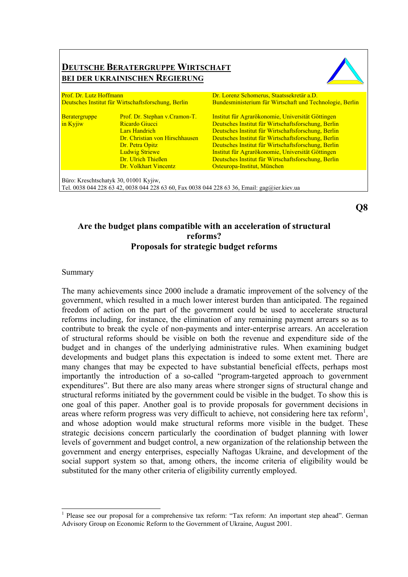|                                                                                | <b>BEI DER UKRAINISCHEN REGIERUNG</b> |                                                                                                       |  |
|--------------------------------------------------------------------------------|---------------------------------------|-------------------------------------------------------------------------------------------------------|--|
| Prof. Dr. Lutz Hoffmann<br>Deutsches Institut für Wirtschaftsforschung, Berlin |                                       | Dr. Lorenz Schomerus, Staatssekretär a.D.<br>Bundesministerium für Wirtschaft und Technologie, Berlin |  |
|                                                                                |                                       |                                                                                                       |  |
| in Kyjiw                                                                       | <b>Ricardo Giucci</b>                 | Deutsches Institut für Wirtschaftsforschung, Berlin                                                   |  |
|                                                                                | Lars Handrich                         | Deutsches Institut für Wirtschaftsforschung, Berlin                                                   |  |
|                                                                                | Dr. Christian von Hirschhausen        | Deutsches Institut für Wirtschaftsforschung, Berlin                                                   |  |
|                                                                                | Dr. Petra Opitz                       | Deutsches Institut für Wirtschaftsforschung, Berlin                                                   |  |
|                                                                                | <b>Ludwig Striewe</b>                 | Institut für Agrarökonomie, Universität Göttingen                                                     |  |
|                                                                                | Dr. Ulrich Thießen                    | Deutsches Institut für Wirtschaftsforschung, Berlin                                                   |  |
|                                                                                | Dr. Volkhart Vincentz                 | Osteuropa-Institut, München                                                                           |  |

# **Are the budget plans compatible with an acceleration of structural reforms? Proposals for strategic budget reforms**

#### Summary

 $\overline{a}$ 

The many achievements since 2000 include a dramatic improvement of the solvency of the government, which resulted in a much lower interest burden than anticipated. The regained freedom of action on the part of the government could be used to accelerate structural reforms including, for instance, the elimination of any remaining payment arrears so as to contribute to break the cycle of non-payments and inter-enterprise arrears. An acceleration of structural reforms should be visible on both the revenue and expenditure side of the budget and in changes of the underlying administrative rules. When examining budget developments and budget plans this expectation is indeed to some extent met. There are many changes that may be expected to have substantial beneficial effects, perhaps most importantly the introduction of a so-called "program-targeted approach to government expenditures". But there are also many areas where stronger signs of structural change and structural reforms initiated by the government could be visible in the budget. To show this is one goal of this paper. Another goal is to provide proposals for government decisions in areas where reform progress was very difficult to achieve, not considering here tax reform<sup>1</sup>, and whose adoption would make structural reforms more visible in the budget. These strategic decisions concern particularly the coordination of budget planning with lower levels of government and budget control, a new organization of the relationship between the government and energy enterprises, especially Naftogas Ukraine, and development of the social support system so that, among others, the income criteria of eligibility would be substituted for the many other criteria of eligibility currently employed.

**Q8** 

<sup>&</sup>lt;sup>1</sup> Please see our proposal for a comprehensive tax reform: "Tax reform: An important step ahead". German Advisory Group on Economic Reform to the Government of Ukraine, August 2001.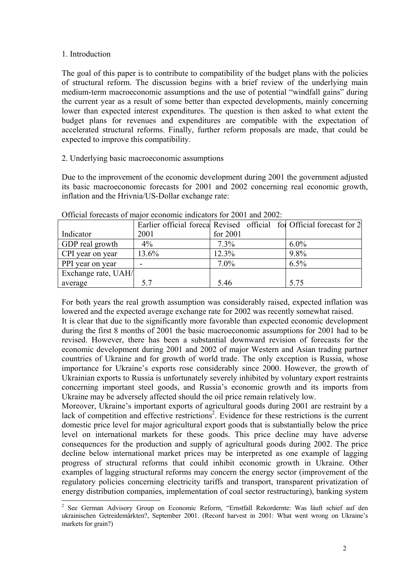### 1. Introduction

The goal of this paper is to contribute to compatibility of the budget plans with the policies of structural reform. The discussion begins with a brief review of the underlying main medium-term macroeconomic assumptions and the use of potential "windfall gains" during the current year as a result of some better than expected developments, mainly concerning lower than expected interest expenditures. The question is then asked to what extent the budget plans for revenues and expenditures are compatible with the expectation of accelerated structural reforms. Finally, further reform proposals are made, that could be expected to improve this compatibility.

## 2. Underlying basic macroeconomic assumptions

Due to the improvement of the economic development during 2001 the government adjusted its basic macroeconomic forecasts for 2001 and 2002 concerning real economic growth, inflation and the Hrivnia/US-Dollar exchange rate:

|                     |       |          | Earlier official forecal Revised official for Official forecast for 2 |
|---------------------|-------|----------|-----------------------------------------------------------------------|
| Indicator           | 2001  | for 2001 |                                                                       |
| GDP real growth     | $4\%$ | $7.3\%$  | $6.0\%$                                                               |
| CPI year on year    | 13.6% | 12.3%    | 9.8%                                                                  |
| PPI year on year    |       | $7.0\%$  | $6.5\%$                                                               |
| Exchange rate, UAH/ |       |          |                                                                       |
| average             | 5.7   | 5.46     | 5.75                                                                  |

Official forecasts of major economic indicators for 2001 and 2002:

For both years the real growth assumption was considerably raised, expected inflation was lowered and the expected average exchange rate for 2002 was recently somewhat raised.

It is clear that due to the significantly more favorable than expected economic development during the first 8 months of 2001 the basic macroeconomic assumptions for 2001 had to be revised. However, there has been a substantial downward revision of forecasts for the economic development during 2001 and 2002 of major Western and Asian trading partner countries of Ukraine and for growth of world trade. The only exception is Russia, whose importance for Ukraine's exports rose considerably since 2000. However, the growth of Ukrainian exports to Russia is unfortunately severely inhibited by voluntary export restraints concerning important steel goods, and Russia's economic growth and its imports from Ukraine may be adversely affected should the oil price remain relatively low.

Moreover, Ukraine's important exports of agricultural goods during 2001 are restraint by a lack of competition and effective restrictions<sup>2</sup>. Evidence for these restrictions is the current domestic price level for major agricultural export goods that is substantially below the price level on international markets for these goods. This price decline may have adverse consequences for the production and supply of agricultural goods during 2002. The price decline below international market prices may be interpreted as one example of lagging progress of structural reforms that could inhibit economic growth in Ukraine. Other examples of lagging structural reforms may concern the energy sector (improvement of the regulatory policies concerning electricity tariffs and transport, transparent privatization of energy distribution companies, implementation of coal sector restructuring), banking system

<sup>&</sup>lt;sup>2</sup> See German Advisory Group on Economic Reform, "Ernstfall Rekordernte: Was läuft schief auf den ukrainischen Getreidemärkten?, September 2001. (Record harvest in 2001: What went wrong on Ukraine's markets for grain?)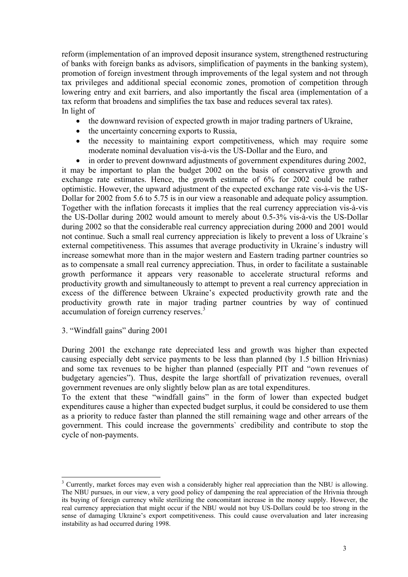reform (implementation of an improved deposit insurance system, strengthened restructuring of banks with foreign banks as advisors, simplification of payments in the banking system), promotion of foreign investment through improvements of the legal system and not through tax privileges and additional special economic zones, promotion of competition through lowering entry and exit barriers, and also importantly the fiscal area (implementation of a tax reform that broadens and simplifies the tax base and reduces several tax rates). In light of

- the downward revision of expected growth in major trading partners of Ukraine,
- the uncertainty concerning exports to Russia,
- the necessity to maintaining export competitiveness, which may require some moderate nominal devaluation vis-à-vis the US-Dollar and the Euro, and
- in order to prevent downward adjustments of government expenditures during 2002,

it may be important to plan the budget 2002 on the basis of conservative growth and exchange rate estimates. Hence, the growth estimate of 6% for 2002 could be rather optimistic. However, the upward adjustment of the expected exchange rate vis- $\dot{a}$ -vis the US-Dollar for 2002 from 5.6 to 5.75 is in our view a reasonable and adequate policy assumption. Together with the inflation forecasts it implies that the real currency appreciation vis-à-vis the US-Dollar during  $2002$  would amount to merely about 0.5-3% vis- $\hat{a}$ -vis the US-Dollar during 2002 so that the considerable real currency appreciation during 2000 and 2001 would not continue. Such a small real currency appreciation is likely to prevent a loss of Ukraine's external competitiveness. This assumes that average productivity in Ukraine's industry will increase somewhat more than in the major western and Eastern trading partner countries so as to compensate a small real currency appreciation. Thus, in order to facilitate a sustainable growth performance it appears very reasonable to accelerate structural reforms and productivity growth and simultaneously to attempt to prevent a real currency appreciation in excess of the difference between Ukraine's expected productivity growth rate and the productivity growth rate in major trading partner countries by way of continued accumulation of foreign currency reserves.<sup>3</sup>

3. "Windfall gains" during 2001

 $\overline{a}$ 

During 2001 the exchange rate depreciated less and growth was higher than expected causing especially debt service payments to be less than planned (by 1.5 billion Hrivnias) and some tax revenues to be higher than planned (especially PIT and "own revenues of budgetary agencies"). Thus, despite the large shortfall of privatization revenues, overall government revenues are only slightly below plan as are total expenditures.

To the extent that these "windfall gains" in the form of lower than expected budget expenditures cause a higher than expected budget surplus, it could be considered to use them as a priority to reduce faster than planned the still remaining wage and other arrears of the government. This could increase the governments` credibility and contribute to stop the cycle of non-payments.

<sup>&</sup>lt;sup>3</sup> Currently, market forces may even wish a considerably higher real appreciation than the NBU is allowing. The NBU pursues, in our view, a very good policy of dampening the real appreciation of the Hrivnia through its buying of foreign currency while sterilizing the concomitant increase in the money supply. However, the real currency appreciation that might occur if the NBU would not buy US-Dollars could be too strong in the sense of damaging Ukraine's export competitiveness. This could cause overvaluation and later increasing instability as had occurred during 1998.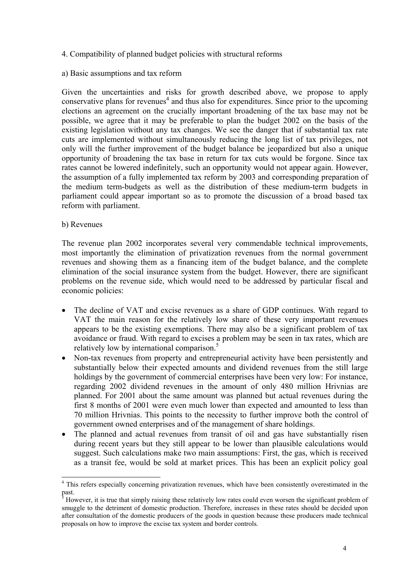- 4. Compatibility of planned budget policies with structural reforms
- a) Basic assumptions and tax reform

Given the uncertainties and risks for growth described above, we propose to apply conservative plans for revenues<sup>4</sup> and thus also for expenditures. Since prior to the upcoming elections an agreement on the crucially important broadening of the tax base may not be possible, we agree that it may be preferable to plan the budget 2002 on the basis of the existing legislation without any tax changes. We see the danger that if substantial tax rate cuts are implemented without simultaneously reducing the long list of tax privileges, not only will the further improvement of the budget balance be jeopardized but also a unique opportunity of broadening the tax base in return for tax cuts would be forgone. Since tax rates cannot be lowered indefinitely, such an opportunity would not appear again. However, the assumption of a fully implemented tax reform by 2003 and corresponding preparation of the medium term-budgets as well as the distribution of these medium-term budgets in parliament could appear important so as to promote the discussion of a broad based tax reform with parliament.

### b) Revenues

 $\overline{a}$ 

The revenue plan 2002 incorporates several very commendable technical improvements, most importantly the elimination of privatization revenues from the normal government revenues and showing them as a financing item of the budget balance, and the complete elimination of the social insurance system from the budget. However, there are significant problems on the revenue side, which would need to be addressed by particular fiscal and economic policies:

- The decline of VAT and excise revenues as a share of GDP continues. With regard to VAT the main reason for the relatively low share of these very important revenues appears to be the existing exemptions. There may also be a significant problem of tax avoidance or fraud. With regard to excises a problem may be seen in tax rates, which are relatively low by international comparison.<sup>5</sup>
- Non-tax revenues from property and entrepreneurial activity have been persistently and substantially below their expected amounts and dividend revenues from the still large holdings by the government of commercial enterprises have been very low: For instance, regarding 2002 dividend revenues in the amount of only 480 million Hrivnias are planned. For 2001 about the same amount was planned but actual revenues during the first 8 months of 2001 were even much lower than expected and amounted to less than 70 million Hrivnias. This points to the necessity to further improve both the control of government owned enterprises and of the management of share holdings.
- The planned and actual revenues from transit of oil and gas have substantially risen during recent years but they still appear to be lower than plausible calculations would suggest. Such calculations make two main assumptions: First, the gas, which is received as a transit fee, would be sold at market prices. This has been an explicit policy goal

<sup>&</sup>lt;sup>4</sup> This refers especially concerning privatization revenues, which have been consistently overestimated in the past.

<sup>5</sup> However, it is true that simply raising these relatively low rates could even worsen the significant problem of smuggle to the detriment of domestic production. Therefore, increases in these rates should be decided upon after consultation of the domestic producers of the goods in question because these producers made technical proposals on how to improve the excise tax system and border controls.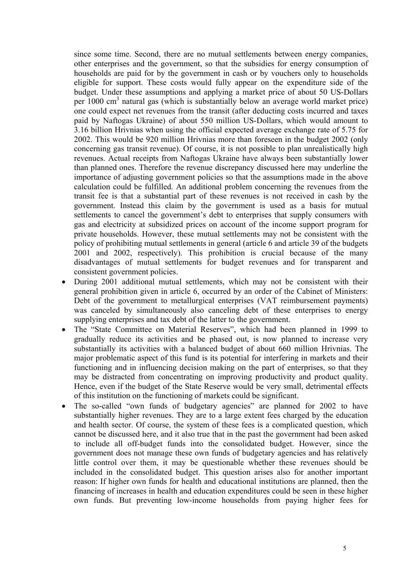since some time. Second, there are no mutual settlements between energy companies, other enterprises and the government, so that the subsidies for energy consumption of households are paid for by the government in cash or by vouchers only to households eligible for support. These costs would fully appear on the expenditure side of the budget. Under these assumptions and applying a market price of about 50 US-Dollars per 1000 cm<sup>3</sup> natural gas (which is substantially below an average world market price) one could expect net revenues from the transit (after deducting costs incurred and taxes paid by Naftogas Ukraine) of about 550 million US-Dollars, which would amount to 3.16 billion Hrivnias when using the official expected average exchange rate of 5.75 for 2002. This would be 920 million Hrivnias more than foreseen in the budget 2002 (only concerning gas transit revenue). Of course, it is not possible to plan unrealistically high revenues. Actual receipts from Naftogas Ukraine have always been substantially lower than planned ones. Therefore the revenue discrepancy discussed here may underline the importance of adjusting government policies so that the assumptions made in the above calculation could be fulfilled. An additional problem concerning the revenues from the transit fee is that a substantial part of these revenues is not received in cash by the government. Instead this claim by the government is used as a basis for mutual settlements to cancel the government's debt to enterprises that supply consumers with gas and electricity at subsidized prices on account of the income support program for private households. However, these mutual settlements may not be consistent with the policy of prohibiting mutual settlements in general (article 6 and article 39 of the budgets 2001 and 2002, respectively). This prohibition is crucial because of the many disadvantages of mutual settlements for budget revenues and for transparent and consistent government policies.

- During 2001 additional mutual settlements, which may not be consistent with their general prohibition given in article 6, occurred by an order of the Cabinet of Ministers: Debt of the government to metallurgical enterprises (VAT reimbursement payments) was canceled by simultaneously also canceling debt of these enterprises to energy supplying enterprises and tax debt of the latter to the government.
- The "State Committee on Material Reserves", which had been planned in 1999 to gradually reduce its activities and be phased out, is now planned to increase very substantially its activities with a balanced budget of about 660 million Hrivnias. The major problematic aspect of this fund is its potential for interfering in markets and their functioning and in influencing decision making on the part of enterprises, so that they may be distracted from concentrating on improving productivity and product quality. Hence, even if the budget of the State Reserve would be very small, detrimental effects of this institution on the functioning of markets could be significant.
- The so-called "own funds of budgetary agencies" are planned for 2002 to have substantially higher revenues. They are to a large extent fees charged by the education and health sector. Of course, the system of these fees is a complicated question, which cannot be discussed here, and it also true that in the past the government had been asked to include all off-budget funds into the consolidated budget. However, since the government does not manage these own funds of budgetary agencies and has relatively little control over them, it may be questionable whether these revenues should be included in the consolidated budget. This question arises also for another important reason: If higher own funds for health and educational institutions are planned, then the financing of increases in health and education expenditures could be seen in these higher own funds. But preventing low-income households from paying higher fees for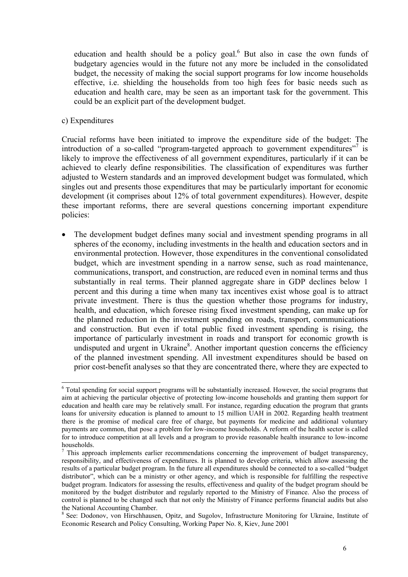education and health should be a policy goal. $<sup>6</sup>$  But also in case the own funds of</sup> budgetary agencies would in the future not any more be included in the consolidated budget, the necessity of making the social support programs for low income households effective, i.e. shielding the households from too high fees for basic needs such as education and health care, may be seen as an important task for the government. This could be an explicit part of the development budget.

#### c) Expenditures

 $\overline{a}$ 

Crucial reforms have been initiated to improve the expenditure side of the budget: The introduction of a so-called "program-targeted approach to government expenditures"<sup>7</sup> is likely to improve the effectiveness of all government expenditures, particularly if it can be achieved to clearly define responsibilities. The classification of expenditures was further adjusted to Western standards and an improved development budget was formulated, which singles out and presents those expenditures that may be particularly important for economic development (it comprises about 12% of total government expenditures). However, despite these important reforms, there are several questions concerning important expenditure policies:

• The development budget defines many social and investment spending programs in all spheres of the economy, including investments in the health and education sectors and in environmental protection. However, those expenditures in the conventional consolidated budget, which are investment spending in a narrow sense, such as road maintenance, communications, transport, and construction, are reduced even in nominal terms and thus substantially in real terms. Their planned aggregate share in GDP declines below 1 percent and this during a time when many tax incentives exist whose goal is to attract private investment. There is thus the question whether those programs for industry, health, and education, which foresee rising fixed investment spending, can make up for the planned reduction in the investment spending on roads, transport, communications and construction. But even if total public fixed investment spending is rising, the importance of particularly investment in roads and transport for economic growth is undisputed and urgent in Ukraine<sup>8</sup>. Another important question concerns the efficiency of the planned investment spending. All investment expenditures should be based on prior cost-benefit analyses so that they are concentrated there, where they are expected to

<sup>&</sup>lt;sup>6</sup> Total spending for social support programs will be substantially increased. However, the social programs that aim at achieving the particular objective of protecting low-income households and granting them support for education and health care may be relatively small. For instance, regarding education the program that grants loans for university education is planned to amount to 15 million UAH in 2002. Regarding health treatment there is the promise of medical care free of charge, but payments for medicine and additional voluntary payments are common, that pose a problem for low-income households. A reform of the health sector is called for to introduce competition at all levels and a program to provide reasonable health insurance to low-income households.

 $<sup>7</sup>$  This approach implements earlier recommendations concerning the improvement of budget transparency,</sup> responsibility, and effectiveness of expenditures. It is planned to develop criteria, which allow assessing the results of a particular budget program. In the future all expenditures should be connected to a so-called "budget" distributor<sup>n</sup>, which can be a ministry or other agency, and which is responsible for fulfilling the respective budget program. Indicators for assessing the results, effectiveness and quality of the budget program should be monitored by the budget distributor and regularly reported to the Ministry of Finance. Also the process of control is planned to be changed such that not only the Ministry of Finance performs financial audits but also the National Accounting Chamber.

<sup>&</sup>lt;sup>8</sup> See: Dodonov, von Hirschhausen, Opitz, and Sugolov, Infrastructure Monitoring for Ukraine, Institute of Economic Research and Policy Consulting, Working Paper No. 8, Kiev, June 2001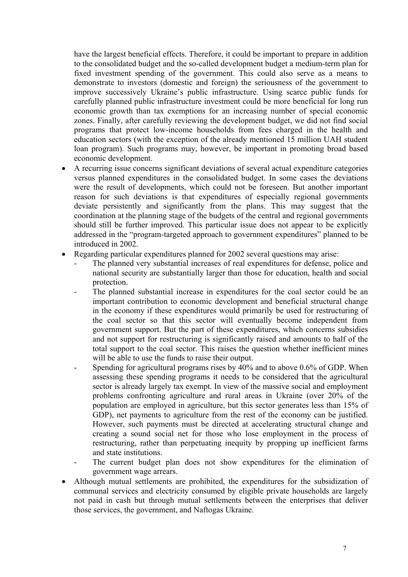have the largest beneficial effects. Therefore, it could be important to prepare in addition to the consolidated budget and the so-called development budget a medium-term plan for fixed investment spending of the government. This could also serve as a means to demonstrate to investors (domestic and foreign) the seriousness of the government to improve successively Ukraine's public infrastructure. Using scarce public funds for carefully planned public infrastructure investment could be more beneficial for long run economic growth than tax exemptions for an increasing number of special economic zones. Finally, after carefully reviewing the development budget, we did not find social programs that protect low-income households from fees charged in the health and education sectors (with the exception of the already mentioned 15 million UAH student loan program). Such programs may, however, be important in promoting broad based economic development.

- A recurring issue concerns significant deviations of several actual expenditure categories versus planned expenditures in the consolidated budget. In some cases the deviations were the result of developments, which could not be foreseen. But another important reason for such deviations is that expenditures of especially regional governments deviate persistently and significantly from the plans. This may suggest that the coordination at the planning stage of the budgets of the central and regional governments should still be further improved. This particular issue does not appear to be explicitly addressed in the "program-targeted approach to government expenditures" planned to be introduced in 2002.
- Regarding particular expenditures planned for 2002 several questions may arise:
	- The planned very substantial increases of real expenditures for defense, police and national security are substantially larger than those for education, health and social protection.
	- The planned substantial increase in expenditures for the coal sector could be an important contribution to economic development and beneficial structural change in the economy if these expenditures would primarily be used for restructuring of the coal sector so that this sector will eventually become independent from government support. But the part of these expenditures, which concerns subsidies and not support for restructuring is significantly raised and amounts to half of the total support to the coal sector. This raises the question whether inefficient mines will be able to use the funds to raise their output.
	- Spending for agricultural programs rises by 40% and to above 0.6% of GDP. When assessing these spending programs it needs to be considered that the agricultural sector is already largely tax exempt. In view of the massive social and employment problems confronting agriculture and rural areas in Ukraine (over 20% of the population are employed in agriculture, but this sector generates less than 15% of GDP), net payments to agriculture from the rest of the economy can be justified. However, such payments must be directed at accelerating structural change and creating a sound social net for those who lose employment in the process of restructuring, rather than perpetuating inequity by propping up inefficient farms and state institutions.
	- The current budget plan does not show expenditures for the elimination of government wage arrears.
- Although mutual settlements are prohibited, the expenditures for the subsidization of communal services and electricity consumed by eligible private households are largely not paid in cash but through mutual settlements between the enterprises that deliver those services, the government, and Naftogas Ukraine.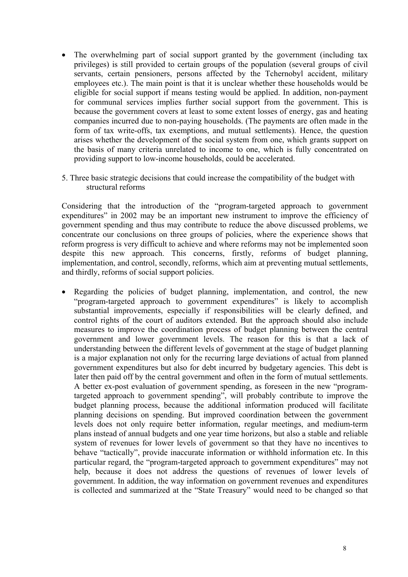- The overwhelming part of social support granted by the government (including tax privileges) is still provided to certain groups of the population (several groups of civil servants, certain pensioners, persons affected by the Tchernobyl accident, military employees etc.). The main point is that it is unclear whether these households would be eligible for social support if means testing would be applied. In addition, non-payment for communal services implies further social support from the government. This is because the government covers at least to some extent losses of energy, gas and heating companies incurred due to non-paying households. (The payments are often made in the form of tax write-offs, tax exemptions, and mutual settlements). Hence, the question arises whether the development of the social system from one, which grants support on the basis of many criteria unrelated to income to one, which is fully concentrated on providing support to low-income households, could be accelerated.
- 5. Three basic strategic decisions that could increase the compatibility of the budget with structural reforms

Considering that the introduction of the "program-targeted approach to government expenditures" in 2002 may be an important new instrument to improve the efficiency of government spending and thus may contribute to reduce the above discussed problems, we concentrate our conclusions on three groups of policies, where the experience shows that reform progress is very difficult to achieve and where reforms may not be implemented soon despite this new approach. This concerns, firstly, reforms of budget planning, implementation, and control, secondly, reforms, which aim at preventing mutual settlements, and thirdly, reforms of social support policies.

• Regarding the policies of budget planning, implementation, and control, the new "program-targeted approach to government expenditures" is likely to accomplish substantial improvements, especially if responsibilities will be clearly defined, and control rights of the court of auditors extended. But the approach should also include measures to improve the coordination process of budget planning between the central government and lower government levels. The reason for this is that a lack of understanding between the different levels of government at the stage of budget planning is a major explanation not only for the recurring large deviations of actual from planned government expenditures but also for debt incurred by budgetary agencies. This debt is later then paid off by the central government and often in the form of mutual settlements. A better ex-post evaluation of government spending, as foreseen in the new "programtargeted approach to government spending", will probably contribute to improve the budget planning process, because the additional information produced will facilitate planning decisions on spending. But improved coordination between the government levels does not only require better information, regular meetings, and medium-term plans instead of annual budgets and one year time horizons, but also a stable and reliable system of revenues for lower levels of government so that they have no incentives to behave "tactically", provide inaccurate information or withhold information etc. In this particular regard, the "program-targeted approach to government expenditures" may not help, because it does not address the questions of revenues of lower levels of government. In addition, the way information on government revenues and expenditures is collected and summarized at the "State Treasury" would need to be changed so that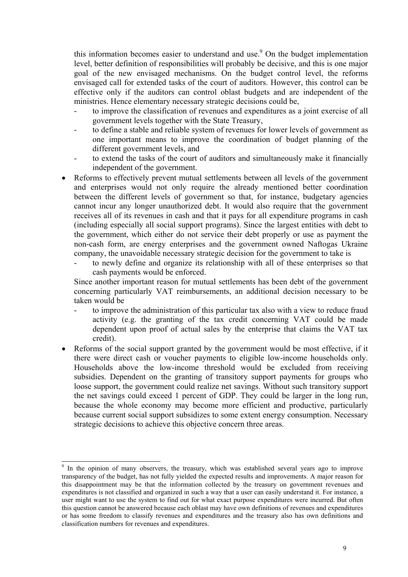this information becomes easier to understand and use.<sup>9</sup> On the budget implementation level, better definition of responsibilities will probably be decisive, and this is one major goal of the new envisaged mechanisms. On the budget control level, the reforms envisaged call for extended tasks of the court of auditors. However, this control can be effective only if the auditors can control oblast budgets and are independent of the ministries. Hence elementary necessary strategic decisions could be,

- to improve the classification of revenues and expenditures as a joint exercise of all government levels together with the State Treasury,
- to define a stable and reliable system of revenues for lower levels of government as one important means to improve the coordination of budget planning of the different government levels, and
- to extend the tasks of the court of auditors and simultaneously make it financially independent of the government.
- Reforms to effectively prevent mutual settlements between all levels of the government and enterprises would not only require the already mentioned better coordination between the different levels of government so that, for instance, budgetary agencies cannot incur any longer unauthorized debt. It would also require that the government receives all of its revenues in cash and that it pays for all expenditure programs in cash (including especially all social support programs). Since the largest entities with debt to the government, which either do not service their debt properly or use as payment the non-cash form, are energy enterprises and the government owned Naftogas Ukraine company, the unavoidable necessary strategic decision for the government to take is
	- to newly define and organize its relationship with all of these enterprises so that cash payments would be enforced.

Since another important reason for mutual settlements has been debt of the government concerning particularly VAT reimbursements, an additional decision necessary to be taken would be

- to improve the administration of this particular tax also with a view to reduce fraud activity (e.g. the granting of the tax credit concerning VAT could be made dependent upon proof of actual sales by the enterprise that claims the VAT tax credit).
- Reforms of the social support granted by the government would be most effective, if it there were direct cash or voucher payments to eligible low-income households only. Households above the low-income threshold would be excluded from receiving subsidies. Dependent on the granting of transitory support payments for groups who loose support, the government could realize net savings. Without such transitory support the net savings could exceed 1 percent of GDP. They could be larger in the long run, because the whole economy may become more efficient and productive, particularly because current social support subsidizes to some extent energy consumption. Necessary strategic decisions to achieve this objective concern three areas.

 $\overline{a}$ 

<sup>9</sup> In the opinion of many observers, the treasury, which was established several years ago to improve transparency of the budget, has not fully yielded the expected results and improvements. A major reason for this disappointment may be that the information collected by the treasury on government revenues and expenditures is not classified and organized in such a way that a user can easily understand it. For instance, a user might want to use the system to find out for what exact purpose expenditures were incurred. But often this question cannot be answered because each oblast may have own definitions of revenues and expenditures or has some freedom to classify revenues and expenditures and the treasury also has own definitions and classification numbers for revenues and expenditures.